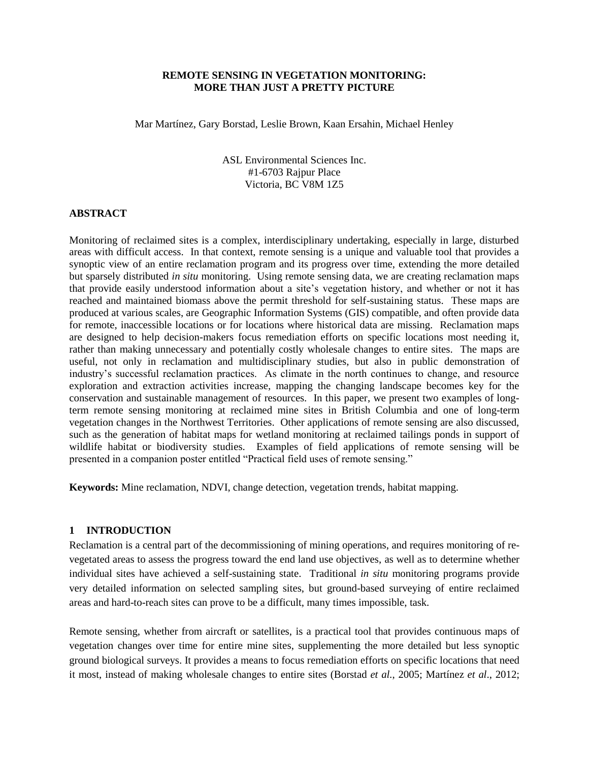## **REMOTE SENSING IN VEGETATION MONITORING: MORE THAN JUST A PRETTY PICTURE**

Mar Martínez, Gary Borstad, Leslie Brown, Kaan Ersahin, Michael Henley

ASL Environmental Sciences Inc. #1-6703 Rajpur Place Victoria, BC V8M 1Z5

### **ABSTRACT**

Monitoring of reclaimed sites is a complex, interdisciplinary undertaking, especially in large, disturbed areas with difficult access. In that context, remote sensing is a unique and valuable tool that provides a synoptic view of an entire reclamation program and its progress over time, extending the more detailed but sparsely distributed *in situ* monitoring. Using remote sensing data, we are creating reclamation maps that provide easily understood information about a site's vegetation history, and whether or not it has reached and maintained biomass above the permit threshold for self-sustaining status. These maps are produced at various scales, are Geographic Information Systems (GIS) compatible, and often provide data for remote, inaccessible locations or for locations where historical data are missing. Reclamation maps are designed to help decision-makers focus remediation efforts on specific locations most needing it, rather than making unnecessary and potentially costly wholesale changes to entire sites. The maps are useful, not only in reclamation and multidisciplinary studies, but also in public demonstration of industry's successful reclamation practices. As climate in the north continues to change, and resource exploration and extraction activities increase, mapping the changing landscape becomes key for the conservation and sustainable management of resources. In this paper, we present two examples of longterm remote sensing monitoring at reclaimed mine sites in British Columbia and one of long-term vegetation changes in the Northwest Territories. Other applications of remote sensing are also discussed, such as the generation of habitat maps for wetland monitoring at reclaimed tailings ponds in support of wildlife habitat or biodiversity studies. Examples of field applications of remote sensing will be presented in a companion poster entitled "Practical field uses of remote sensing."

**Keywords:** Mine reclamation, NDVI, change detection, vegetation trends, habitat mapping.

## **1 INTRODUCTION**

Reclamation is a central part of the decommissioning of mining operations, and requires monitoring of revegetated areas to assess the progress toward the end land use objectives, as well as to determine whether individual sites have achieved a self-sustaining state. Traditional *in situ* monitoring programs provide very detailed information on selected sampling sites, but ground-based surveying of entire reclaimed areas and hard-to-reach sites can prove to be a difficult, many times impossible, task.

Remote sensing, whether from aircraft or satellites, is a practical tool that provides continuous maps of vegetation changes over time for entire mine sites, supplementing the more detailed but less synoptic ground biological surveys. It provides a means to focus remediation efforts on specific locations that need it most, instead of making wholesale changes to entire sites (Borstad *et al.*, 2005; Martínez *et al*., 2012;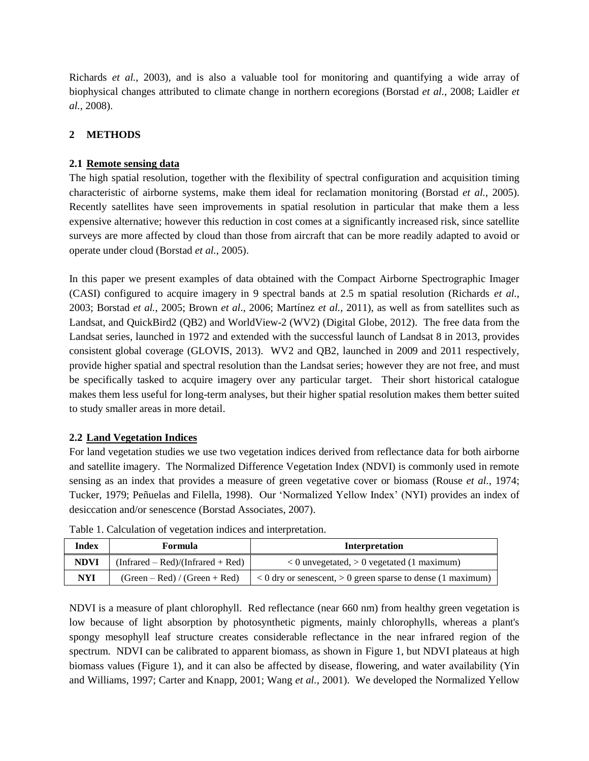Richards *et al.*, 2003), and is also a valuable tool for monitoring and quantifying a wide array of biophysical changes attributed to climate change in northern ecoregions (Borstad *et al.*, 2008; Laidler *et al.*, 2008).

# **2 METHODS**

## **2.1 Remote sensing data**

The high spatial resolution, together with the flexibility of spectral configuration and acquisition timing characteristic of airborne systems, make them ideal for reclamation monitoring (Borstad *et al.*, 2005). Recently satellites have seen improvements in spatial resolution in particular that make them a less expensive alternative; however this reduction in cost comes at a significantly increased risk, since satellite surveys are more affected by cloud than those from aircraft that can be more readily adapted to avoid or operate under cloud (Borstad *et al.*, 2005).

In this paper we present examples of data obtained with the Compact Airborne Spectrographic Imager (CASI) configured to acquire imagery in 9 spectral bands at 2.5 m spatial resolution (Richards *et al.*, 2003; Borstad *et al.*, 2005; Brown *et al*., 2006; Martínez *et al.*, 2011), as well as from satellites such as Landsat, and QuickBird2 (QB2) and WorldView-2 (WV2) (Digital Globe, 2012). The free data from the Landsat series, launched in 1972 and extended with the successful launch of Landsat 8 in 2013, provides consistent global coverage (GLOVIS, 2013). WV2 and QB2, launched in 2009 and 2011 respectively, provide higher spatial and spectral resolution than the Landsat series; however they are not free, and must be specifically tasked to acquire imagery over any particular target. Their short historical catalogue makes them less useful for long-term analyses, but their higher spatial resolution makes them better suited to study smaller areas in more detail.

## **2.2 Land Vegetation Indices**

For land vegetation studies we use two vegetation indices derived from reflectance data for both airborne and satellite imagery. The Normalized Difference Vegetation Index (NDVI) is commonly used in remote sensing as an index that provides a measure of green vegetative cover or biomass (Rouse *et al.*, 1974; Tucker, 1979; Peñuelas and Filella, 1998). Our 'Normalized Yellow Index' (NYI) provides an index of desiccation and/or senescence (Borstad Associates, 2007).

| <b>Index</b> | Formula                             | Interpretation                                                  |
|--------------|-------------------------------------|-----------------------------------------------------------------|
| <b>NDVI</b>  | $(Infrared - Red)/(Infrared + Red)$ | $0$ unvegetated, $> 0$ vegetated (1 maximum)                    |
| <b>NYI</b>   | $(Green - Red) / (Green + Red)$     | $< 0$ dry or senescent, $> 0$ green sparse to dense (1 maximum) |

Table 1. Calculation of vegetation indices and interpretation.

NDVI is a measure of plant chlorophyll. Red reflectance (near 660 nm) from healthy green vegetation is low because of light absorption by photosynthetic pigments, mainly chlorophylls, whereas a plant's spongy mesophyll leaf structure creates considerable reflectance in the near infrared region of the spectrum. NDVI can be calibrated to apparent biomass, as shown in [Figure 1,](#page-2-0) but NDVI plateaus at high biomass values [\(Figure 1\)](#page-2-0), and it can also be affected by disease, flowering, and water availability (Yin and Williams, 1997; Carter and Knapp, 2001; Wang *et al.*, 2001). We developed the Normalized Yellow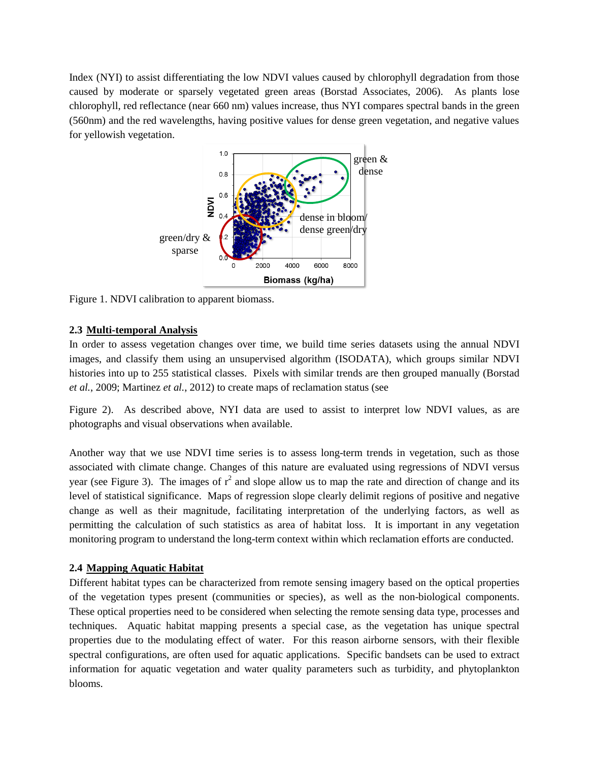Index (NYI) to assist differentiating the low NDVI values caused by chlorophyll degradation from those caused by moderate or sparsely vegetated green areas (Borstad Associates, 2006). As plants lose chlorophyll, red reflectance (near 660 nm) values increase, thus NYI compares spectral bands in the green (560nm) and the red wavelengths, having positive values for dense green vegetation, and negative values for yellowish vegetation.



<span id="page-2-0"></span>Figure 1. NDVI calibration to apparent biomass.

### **2.3 Multi-temporal Analysis**

In order to assess vegetation changes over time, we build time series datasets using the annual NDVI images, and classify them using an unsupervised algorithm (ISODATA), which groups similar NDVI histories into up to 255 statistical classes. Pixels with similar trends are then [grouped manually](#page-3-0) (Borstad *et al.*, 2009; Martinez *et al.*, 2012) [to create maps of reclamation status \(see](#page-3-0) 

[Figure 2\)](#page-3-0). As described above, NYI data are used to assist to interpret low NDVI values, as are photographs and visual observations when available.

Another way that we use NDVI time series is to assess long-term trends in vegetation, such as those associated with climate change. Changes of this nature are evaluated using regressions of NDVI versus year (see [Figure 3\)](#page-4-0). The images of  $r^2$  and slope allow us to map the rate and direction of change and its level of statistical significance. Maps of regression slope clearly delimit regions of positive and negative change as well as their magnitude, facilitating interpretation of the underlying factors, as well as permitting the calculation of such statistics as area of habitat loss. It is important in any vegetation monitoring program to understand the long-term context within which reclamation efforts are conducted.

### **2.4 Mapping Aquatic Habitat**

Different habitat types can be characterized from remote sensing imagery based on the optical properties of the vegetation types present (communities or species), as well as the non-biological components. These optical properties need to be considered when selecting the remote sensing data type, processes and techniques. Aquatic habitat mapping presents a special case, as the vegetation has unique spectral properties due to the modulating effect of water. For this reason airborne sensors, with their flexible spectral configurations, are often used for aquatic applications. Specific bandsets can be used to extract information for aquatic vegetation and water quality parameters such as turbidity, and phytoplankton blooms.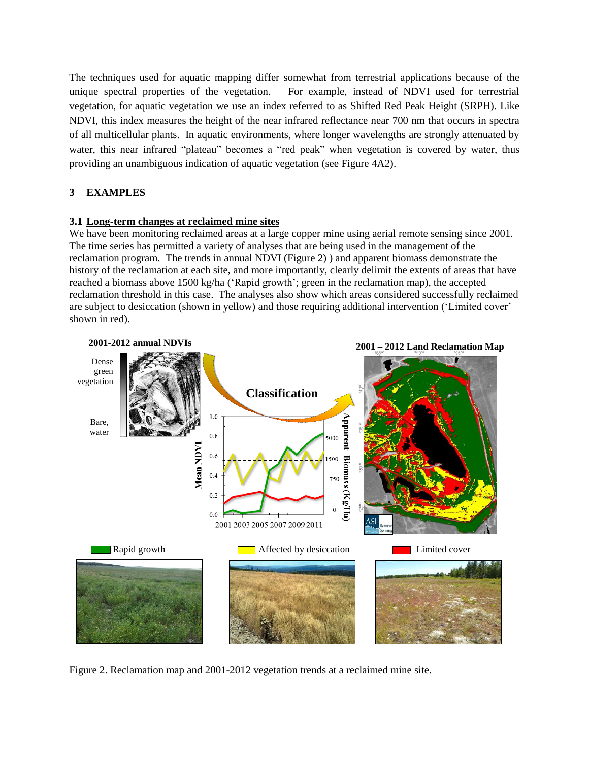The techniques used for aquatic mapping differ somewhat from terrestrial applications because of the unique spectral properties of the vegetation. For example, instead of NDVI used for terrestrial vegetation, for aquatic vegetation we use an index referred to as Shifted Red Peak Height (SRPH). Like NDVI, this index measures the height of the near infrared reflectance near 700 nm that occurs in spectra of all multicellular plants. In aquatic environments, where longer wavelengths are strongly attenuated by water, this near infrared "plateau" becomes a "red peak" when vegetation is covered by water, thus providing an unambiguous indication of aquatic vegetation (see [Figure 4A](#page-5-0)2).

# **3 EXAMPLES**

# **3.1 Long-term changes at reclaimed mine sites**

We have been monitoring reclaimed areas at a large copper mine using aerial remote sensing since 2001. The time series has permitted a variety of analyses that are being used in the management of the reclamation program. The trends in annual NDVI (Figure 2) ) and apparent biomass demonstrate the history of the reclamation at each site, and more importantly, clearly delimit the extents of areas that have reached a biomass above 1500 kg/ha ('Rapid growth'; green in the reclamation map), the accepted reclamation threshold in this case. The analyses also show which areas considered successfully reclaimed are subject to desiccation (shown in yellow) and those requiring additional intervention ('Limited cover' shown in red).



<span id="page-3-0"></span>Figure 2. Reclamation map and 2001-2012 vegetation trends at a reclaimed mine site.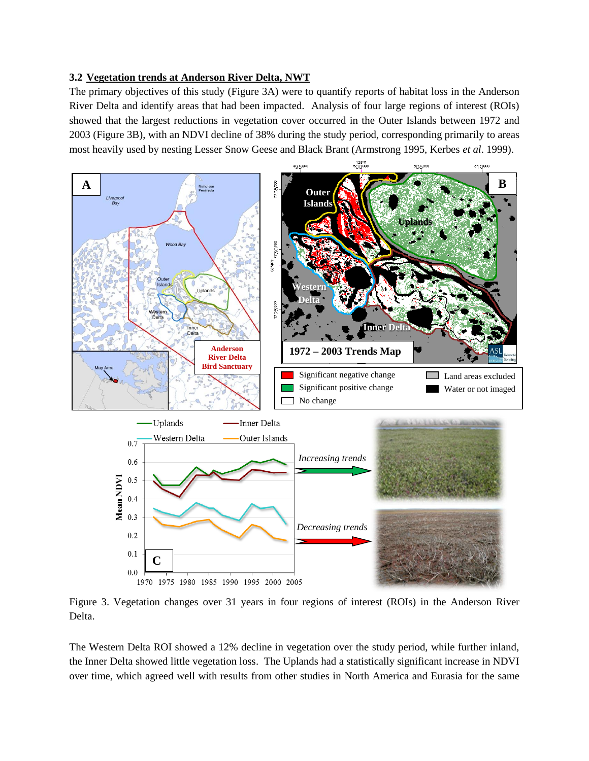## **3.2 Vegetation trends at Anderson River Delta, NWT**

The primary objectives of this study [\(Figure 3A](#page-4-0)) were to quantify reports of habitat loss in the Anderson River Delta and identify areas that had been impacted. Analysis of four large regions of interest (ROIs) showed that the largest reductions in vegetation cover occurred in the Outer Islands between 1972 and 2003 [\(Figure 3B](#page-4-0)), with an NDVI decline of 38% during the study period, corresponding primarily to areas most heavily used by nesting Lesser Snow Geese and Black Brant (Armstrong 1995, Kerbes *et al*. 1999).



<span id="page-4-0"></span>Figure 3. Vegetation changes over 31 years in four regions of interest (ROIs) in the Anderson River Delta.

The Western Delta ROI showed a 12% decline in vegetation over the study period, while further inland, the Inner Delta showed little vegetation loss. The Uplands had a statistically significant increase in NDVI over time, which agreed well with results from other studies in North America and Eurasia for the same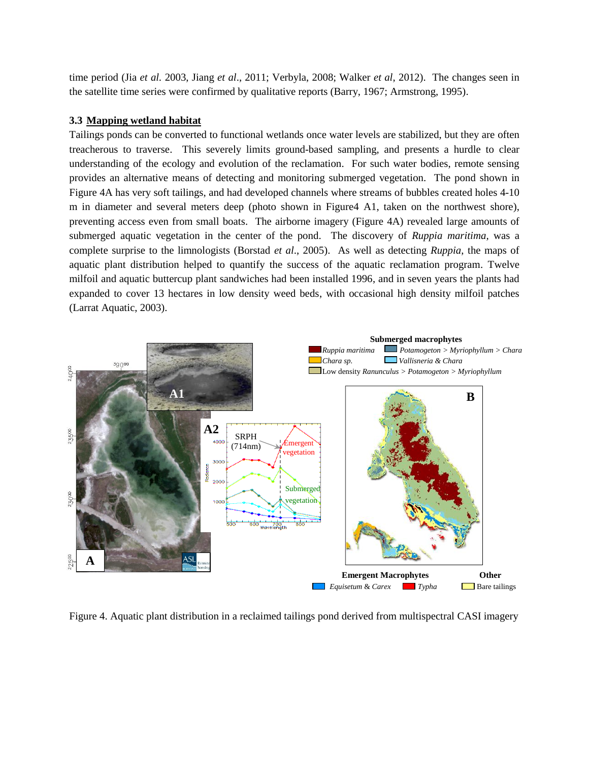time period (Jia *et al.* 2003, Jiang *et al*., 2011; Verbyla, 2008; Walker *et al*, 2012). The changes seen in the satellite time series were confirmed by qualitative reports (Barry, 1967; Armstrong, 1995).

### **3.3 Mapping wetland habitat**

Tailings ponds can be converted to functional wetlands once water levels are stabilized, but they are often treacherous to traverse. This severely limits ground-based sampling, and presents a hurdle to clear understanding of the ecology and evolution of the reclamation. For such water bodies, remote sensing provides an alternative means of detecting and monitoring submerged vegetation. The pond shown in [Figure 4A](#page-5-0) has very soft tailings, and had developed channels where streams of bubbles created holes 4-10 m in diameter and several meters deep (photo shown in Figure4 A1, taken on the northwest shore), preventing access even from small boats. The airborne imagery [\(Figure 4A](#page-5-0)) revealed large amounts of submerged aquatic vegetation in the center of the pond. The discovery of *Ruppia maritima,* was a complete surprise to the limnologists (Borstad *et al*., 2005). As well as detecting *Ruppia*, the maps of aquatic plant distribution helped to quantify the success of the aquatic reclamation program. Twelve milfoil and aquatic buttercup plant sandwiches had been installed 1996, and in seven years the plants had expanded to cover 13 hectares in low density weed beds, with occasional high density milfoil patches (Larrat Aquatic, 2003).



<span id="page-5-0"></span>Figure 4. Aquatic plant distribution in a reclaimed tailings pond derived from multispectral CASI imagery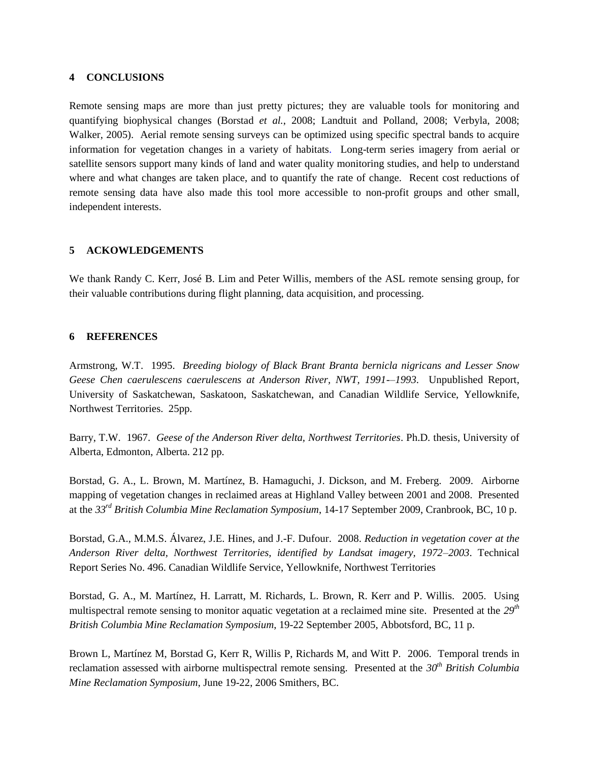## **4 CONCLUSIONS**

Remote sensing maps are more than just pretty pictures; they are valuable tools for monitoring and quantifying biophysical changes (Borstad *et al.*, 2008; Landtuit and Polland, 2008; Verbyla, 2008; Walker, 2005). Aerial remote sensing surveys can be optimized using specific spectral bands to acquire information for vegetation changes in a variety of habitats. Long-term series imagery from aerial or satellite sensors support many kinds of land and water quality monitoring studies, and help to understand where and what changes are taken place, and to quantify the rate of change. Recent cost reductions of remote sensing data have also made this tool more accessible to non-profit groups and other small, independent interests.

## **5 ACKOWLEDGEMENTS**

We thank Randy C. Kerr, José B. Lim and Peter Willis, members of the ASL remote sensing group, for their valuable contributions during flight planning, data acquisition, and processing.

### **6 REFERENCES**

Armstrong, W.T. 1995. *Breeding biology of Black Brant Branta bernicla nigricans and Lesser Snow Geese Chen caerulescens caerulescens at Anderson River, NWT, 1991-–1993*. Unpublished Report, University of Saskatchewan, Saskatoon, Saskatchewan, and Canadian Wildlife Service, Yellowknife, Northwest Territories. 25pp.

Barry, T.W. 1967. *Geese of the Anderson River delta, Northwest Territories*. Ph.D. thesis, University of Alberta, Edmonton, Alberta. 212 pp.

Borstad, G. A., L. Brown, M. Martínez, B. Hamaguchi, J. Dickson, and M. Freberg. 2009. Airborne mapping of vegetation changes in reclaimed areas at Highland Valley between 2001 and 2008. Presented at the *33rd British Columbia Mine Reclamation Symposium*, 14-17 September 2009, Cranbrook, BC, 10 p.

Borstad, G.A., M.M.S. Álvarez, J.E. Hines, and J.-F. Dufour. 2008. *Reduction in vegetation cover at the Anderson River delta, Northwest Territories, identified by Landsat imagery, 1972–2003*. Technical Report Series No. 496. Canadian Wildlife Service, Yellowknife, Northwest Territories

Borstad, G. A., M. Martínez, H. Larratt, M. Richards, L. Brown, R. Kerr and P. Willis. 2005. Using multispectral remote sensing to monitor aquatic vegetation at a reclaimed mine site. Presented at the *29th British Columbia Mine Reclamation Symposium*, 19-22 September 2005, Abbotsford, BC, 11 p.

Brown L, Martínez M, Borstad G, Kerr R, Willis P, Richards M, and Witt P. 2006. Temporal trends in reclamation assessed with airborne multispectral remote sensing. Presented at the *30th British Columbia Mine Reclamation Symposium*, June 19-22, 2006 Smithers, BC.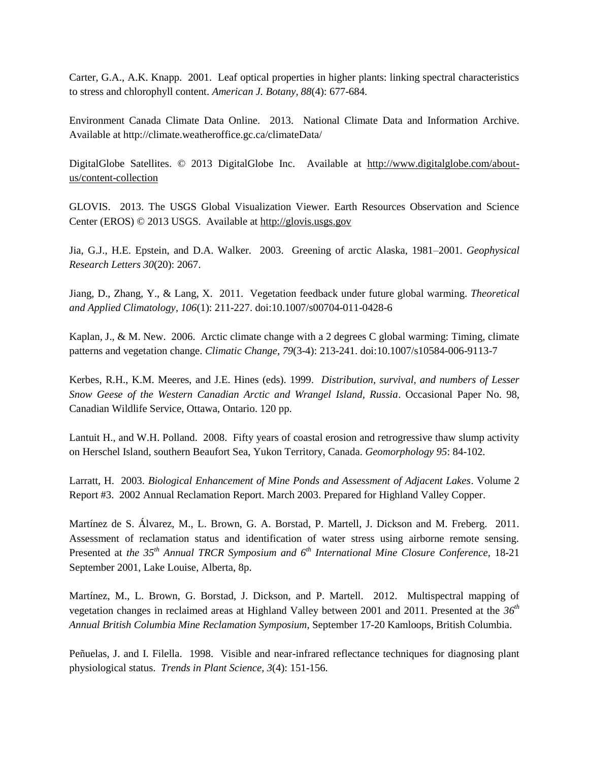Carter, G.A., A.K. Knapp. 2001. Leaf optical properties in higher plants: linking spectral characteristics to stress and chlorophyll content. *American J. Botany, 88*(4): 677-684.

Environment Canada Climate Data Online. 2013. National Climate Data and Information Archive. Available at http://climate.weatheroffice.gc.ca/climateData/

DigitalGlobe Satellites. © 2013 DigitalGlobe Inc. Available at [http://www.digitalglobe.com/about](http://www.digitalglobe.com/about-us/content-collection)[us/content-collection](http://www.digitalglobe.com/about-us/content-collection)

GLOVIS. 2013. The USGS Global Visualization Viewer. Earth Resources Observation and Science Center (EROS) © 2013 USGS. Available at [http://glovis.usgs.gov](http://glovis.usgs.gov/)

Jia, G.J., H.E. Epstein, and D.A. Walker. 2003. Greening of arctic Alaska, 1981–2001. *Geophysical Research Letters 30*(20): 2067.

Jiang, D., Zhang, Y., & Lang, X. 2011. Vegetation feedback under future global warming. *Theoretical and Applied Climatology, 106*(1): 211-227. doi:10.1007/s00704-011-0428-6

Kaplan, J., & M. New. 2006. Arctic climate change with a 2 degrees C global warming: Timing, climate patterns and vegetation change. *Climatic Change, 79*(3-4): 213-241. doi:10.1007/s10584-006-9113-7

Kerbes, R.H., K.M. Meeres, and J.E. Hines (eds). 1999. *Distribution, survival, and numbers of Lesser Snow Geese of the Western Canadian Arctic and Wrangel Island, Russia*. Occasional Paper No. 98, Canadian Wildlife Service, Ottawa, Ontario. 120 pp.

Lantuit H., and W.H. Polland. 2008. Fifty years of coastal erosion and retrogressive thaw slump activity on Herschel Island, southern Beaufort Sea, Yukon Territory, Canada. *Geomorphology 95*: 84-102.

Larratt, H. 2003. *Biological Enhancement of Mine Ponds and Assessment of Adjacent Lakes*. Volume 2 Report #3. 2002 Annual Reclamation Report. March 2003. Prepared for Highland Valley Copper.

Martínez de S. Álvarez, M., L. Brown, G. A. Borstad, P. Martell, J. Dickson and M. Freberg. 2011. Assessment of reclamation status and identification of water stress using airborne remote sensing. Presented at *the 35th Annual TRCR Symposium and 6th International Mine Closure Conference,* 18-21 September 2001, Lake Louise, Alberta, 8p.

Martínez, M., L. Brown, G. Borstad, J. Dickson, and P. Martell. 2012. Multispectral mapping of vegetation changes in reclaimed areas at Highland Valley between 2001 and 2011. Presented at the *36th Annual British Columbia Mine Reclamation Symposium*, September 17-20 Kamloops, British Columbia.

Peñuelas, J. and I. Filella. 1998. Visible and near-infrared reflectance techniques for diagnosing plant physiological status. *Trends in Plant Science, 3*(4): 151-156.